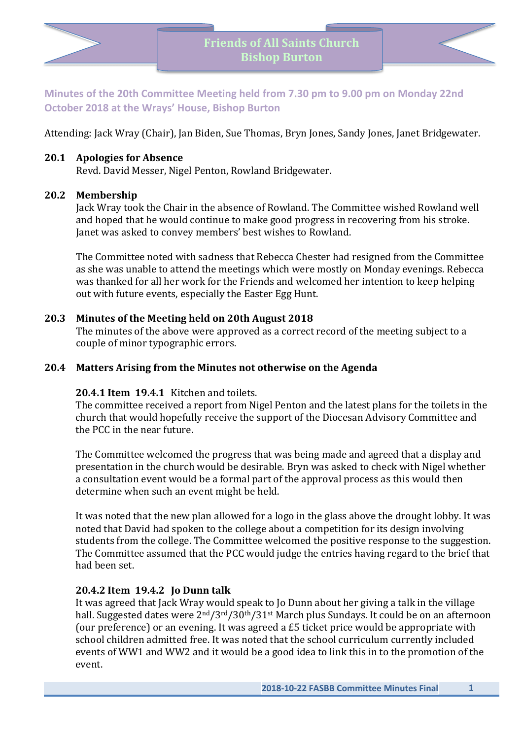

**Minutes of the 20th Committee Meeting held from 7.30 pm to 9.00 pm on Monday 22nd October 2018 at the Wrays' House, Bishop Burton**

Attending: Jack Wray (Chair), Jan Biden, Sue Thomas, Bryn Jones, Sandy Jones, Janet Bridgewater.

#### **20.1 Apologies for Absence**

Revd. David Messer, Nigel Penton, Rowland Bridgewater.

#### **20.2 Membership**

Jack Wray took the Chair in the absence of Rowland. The Committee wished Rowland well and hoped that he would continue to make good progress in recovering from his stroke. Janet was asked to convey members' best wishes to Rowland.

The Committee noted with sadness that Rebecca Chester had resigned from the Committee as she was unable to attend the meetings which were mostly on Monday evenings. Rebecca was thanked for all her work for the Friends and welcomed her intention to keep helping out with future events, especially the Easter Egg Hunt.

# **20.3 Minutes of the Meeting held on 20th August 2018**

The minutes of the above were approved as a correct record of the meeting subject to a couple of minor typographic errors.

### **20.4 Matters Arising from the Minutes not otherwise on the Agenda**

#### **20.4.1 Item 19.4.1** Kitchen and toilets.

The committee received a report from Nigel Penton and the latest plans for the toilets in the church that would hopefully receive the support of the Diocesan Advisory Committee and the PCC in the near future.

The Committee welcomed the progress that was being made and agreed that a display and presentation in the church would be desirable. Bryn was asked to check with Nigel whether a consultation event would be a formal part of the approval process as this would then determine when such an event might be held.

It was noted that the new plan allowed for a logo in the glass above the drought lobby. It was noted that David had spoken to the college about a competition for its design involving students from the college. The Committee welcomed the positive response to the suggestion. The Committee assumed that the PCC would judge the entries having regard to the brief that had been set.

# **20.4.2 Item 19.4.2 Jo Dunn talk**

It was agreed that Jack Wray would speak to Jo Dunn about her giving a talk in the village hall. Suggested dates were  $2<sup>nd</sup>/3<sup>rd</sup>/30<sup>th</sup>/31<sup>st</sup> March plus Sundays. It could be on an afternoon$ (our preference) or an evening. It was agreed a  $£5$  ticket price would be appropriate with school children admitted free. It was noted that the school curriculum currently included events of WW1 and WW2 and it would be a good idea to link this in to the promotion of the event.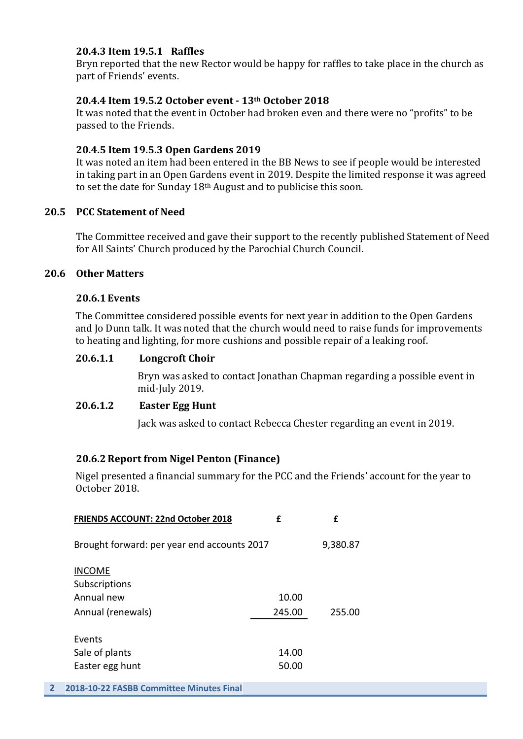# **20.4.3 Item 19.5.1 Raffles**

Bryn reported that the new Rector would be happy for raffles to take place in the church as part of Friends' events.

# **20.4.4 Item 19.5.2 October event - 13th October 2018**

It was noted that the event in October had broken even and there were no "profits" to be passed to the Friends.

# **20.4.5 Item 19.5.3 Open Gardens 2019**

It was noted an item had been entered in the BB News to see if people would be interested in taking part in an Open Gardens event in 2019. Despite the limited response it was agreed to set the date for Sunday  $18<sup>th</sup>$  August and to publicise this soon.

# **20.5 PCC Statement of Need**

The Committee received and gave their support to the recently published Statement of Need for All Saints' Church produced by the Parochial Church Council.

# **20.6 Other Matters**

# **20.6.1 Events**

The Committee considered possible events for next year in addition to the Open Gardens and Jo Dunn talk. It was noted that the church would need to raise funds for improvements to heating and lighting, for more cushions and possible repair of a leaking roof.

# **20.6.1.1 Longcroft Choir**

Bryn was asked to contact Jonathan Chapman regarding a possible event in mid-July 2019.

# **20.6.1.2 Easter Egg Hunt**

Jack was asked to contact Rebecca Chester regarding an event in 2019.

# **20.6.2 Report from Nigel Penton (Finance)**

Nigel presented a financial summary for the PCC and the Friends' account for the year to October 2018.

| f                                           | f        |
|---------------------------------------------|----------|
| Brought forward: per year end accounts 2017 | 9,380.87 |
| 10.00<br>245.00                             | 255.00   |
| 14.00<br>50.00                              |          |
|                                             |          |